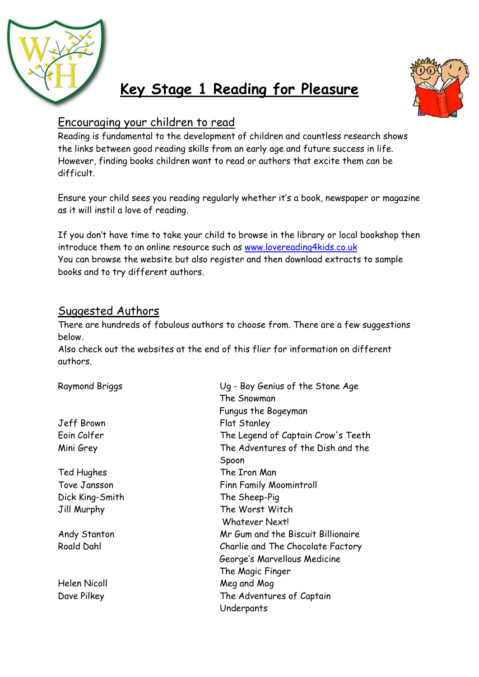



# **Key Stage 1 Reading for Pleasure**

## Encouraging your children to read

Reading is fundamental to the development of children and countless research shows the links between good reading skills from an early age and future success in life. However, finding books children want to read or authors that excite them can be difficult.

Ensure your child sees you reading regularly whether it's a book, newspaper or magazine as it will instil a love of reading.

If you don't have time to take your child to browse in the library or local bookshop then introduce them to an online resource such as [www.lovereading4kids.co.uk](http://www.lovereading4kids.co.uk/) You can browse the website but also register and then download extracts to sample books and to try different authors.

## Suggested Authors

There are hundreds of fabulous authors to choose from. There are a few suggestions below.

Also check out the websites at the end of this flier for information on different authors.

| <b>Raymond Briggs</b> | Ug - Boy Genius of the Stone Age   |
|-----------------------|------------------------------------|
|                       | The Snowman                        |
|                       | Fungus the Bogeyman                |
| Jeff Brown            | Flat Stanley                       |
| Eoin Colfer           | The Legend of Captain Crow's Teeth |
| Mini Grey             | The Adventures of the Dish and the |
|                       | Spoon                              |
| Ted Hughes            | The Iron Man                       |
| Tove Jansson          | <b>Finn Family Moomintroll</b>     |
| Dick King-Smith       | The Sheep-Pig                      |
| Jill Murphy           | The Worst Witch                    |
|                       | Whatever Next!                     |
| Andy Stanton          | Mr Gum and the Biscuit Billionaire |
| <b>Roald Dahl</b>     | Charlie and The Chocolate Factory  |
|                       | George's Marvellous Medicine       |
|                       | The Magic Finger                   |
| <b>Helen Nicoll</b>   | Meg and Mog                        |
| Dave Pilkey           | The Adventures of Captain          |
|                       | Underpants                         |
|                       |                                    |